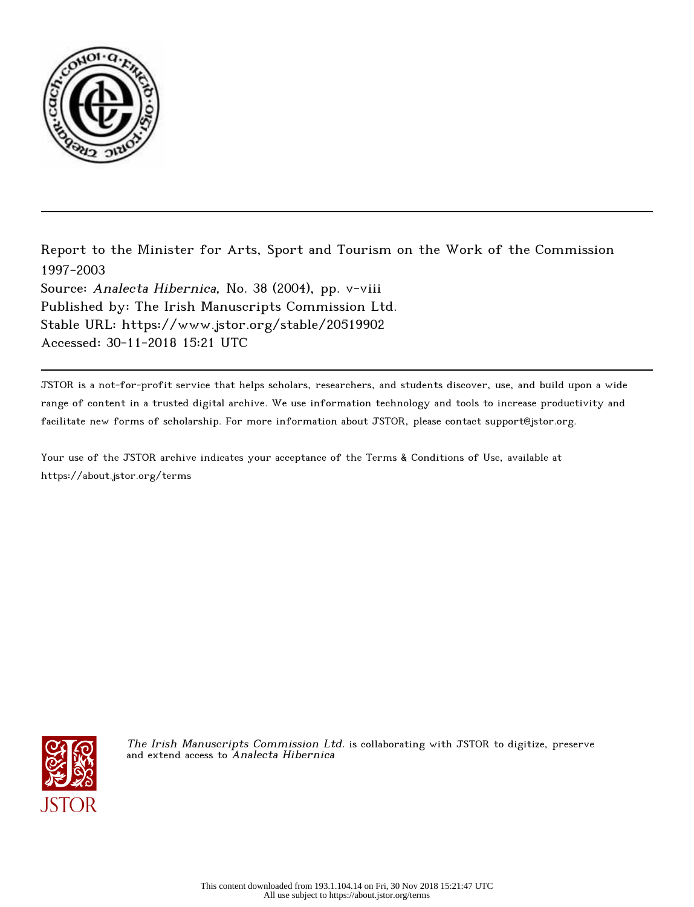

Report to the Minister for Arts, Sport and Tourism on the Work of the Commission 1997-2003 Source: Analecta Hibernica, No. 38 (2004), pp. v-viii Published by: The Irish Manuscripts Commission Ltd. Stable URL: https://www.jstor.org/stable/20519902 Accessed: 30-11-2018 15:21 UTC

JSTOR is a not-for-profit service that helps scholars, researchers, and students discover, use, and build upon a wide range of content in a trusted digital archive. We use information technology and tools to increase productivity and facilitate new forms of scholarship. For more information about JSTOR, please contact support@jstor.org.

Your use of the JSTOR archive indicates your acceptance of the Terms & Conditions of Use, available at https://about.jstor.org/terms



The Irish Manuscripts Commission Ltd. is collaborating with JSTOR to digitize, preserve and extend access to Analecta Hibernica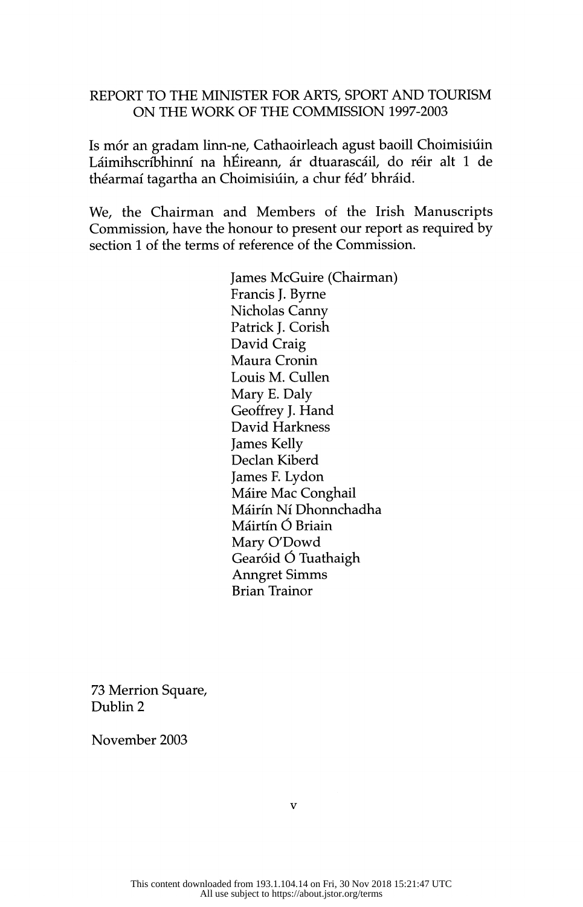## REPORT TO THE MINISTER FOR ARTS, SPORT AND TOURISM ON THE WORK OF THE COMMISSION 1997-2003

Is mor an gradam mar ne, Cathaoirleach agust baoin Chomnstan Laiminscriptulu na hEileann, ar dtuarascail, do reir alt 1 de théarmaí tagartha an Choimisiúin, a chur féd' bhráid.

We, the Chairman and Members of the Irish Manuscripts<br>Commission, have the honour to present our report as required by Commission, have the honour to present our report as required by section 1 of the terms of reference of the Commission.

> James McGuire (Chairman)<br>Francis J. Byrne Nicholas Canny Nicholas Canny  $P_{\text{rel}}(16^{-1}$ David Craig Maura Cronin Louis M. Cullen<br>Mary E. Daly Geoffrev J. Hand Geomey J. Hand David Harkness James Kelly Declan Kiberd James F. Lydon Mane Mac Conghail Mairin Ni Dhonnchadha Máirtín Ó Briain<br>Mary O'Dowd Gearóid Ó Tuathaigh Anngret Simms Anngret Simms Brian Irainor

 73 Merrion Square, Dublin 2

November 2003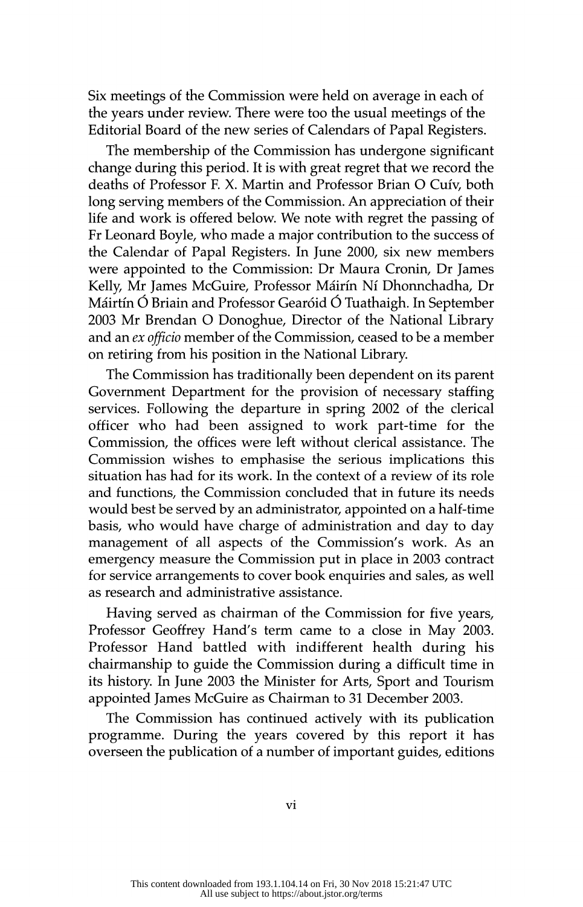Six meetings of the Commission were held on average in each of the years under review. There were too the usual meetings of the Editorial Board of the new series of Calendars of Papal Registers.

The membership of the Commission has undergone significant change during this period. It is with great regret that we record the deaths of Professor F. X. Martin and Professor Brian O Cuív, both long serving members of the Commission. An appreciation of their life and work is offered below. We note with regret the passing of Fr Leonard Boyle, who made a major contribution to the success of the Calendar of Papal Registers. In June 2000, six new members were appointed to the Commission: Dr Maura Cronin, Dr James Kelly, Mr James McGuire, Professor Máirín Ní Dhonnchadha, Dr Máirtín Ó Briain and Professor Gearóid Ó Tuathaigh. In September 2003 Mr Brendan O Donoghue, Director of the National Library and an  $ex$  officio member of the Commission, ceased to be a member and an ex officio member of the Commission, ceased to be a member on retiring from his position in the National Library.

The Commission has traditionally been dependent on its parent<br>Government Department for the provision of necessary staffing services. Following the departure in spring 2002 of the clerical officer who had been assigned to work part-time for the officer who had been assigned to work part-time for the Commission, the offices were left without clerical assistance. The Commission wishes to emphasise the serious implications this situation has had for its work. In the context of a review of its role and functions, the Commission concluded that in future its needs would best be served by an administrator, appointed on a half-time basis, who would have charge of administration and day to day management of all aspects of the Commission's work. As an emergency measure the Commission put in place in 2003 contract emergency measure the Commission put in place in 2003 contract for service arrangements to cover book enquiries and sales, as well as research and administrative assistance.

Having served as chairman of the Commission for five years,<br>Professor Geoffrey Hand's term came to a close in May 2003. Professor Hand battled with indifferent health during his chairmanship to guide the Commission during a difficult time in its history. In June 2003 the Minister for Arts, Sport and Tourism  $\frac{1}{100}$  history. In June 2003 the Minister for Arts, Sport and Tourism appointed James McGuire as Chairman to 31 December 2003.

The Commission has continued actively with its publication programme. During the years covered by this report it has programme. During the years covered by this report it has overseen the publication of a number of important guides, editions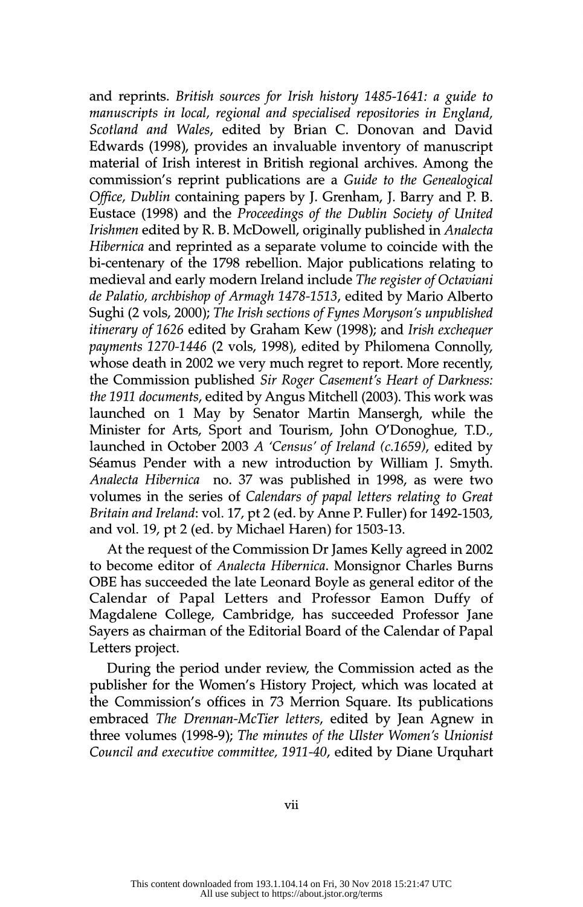and reprints. British sources for Irish history 1485-1641: a guide to manuscripts in local, regional and specialised repositories in England, Scotland and Wales, edited by Brian C. Donovan and David Edwards (1998), provides an invaluable inventory of manuscript material of Irish interest in British regional archives. Among the commission's reprint publications are a Guide to the Genealogical Office, Dublin containing papers by J. Grenham, J. Barry and P. B. Eustace (1998) and the Proceedings of the Dublin Society of United Irishmen edited by R. B. McDowell, originally published in Analecta Hibernica and reprinted as a separate volume to coincide with the bi-centenary of the 1798 rebellion. Major publications relating to medieval and early modern Ireland include The register of Octaviani de Palatio, archbishop of Armagh 1478-1513, edited by Mario Alberto Sughi (2 vols, 2000); The Irish sections of Fynes Moryson's unpublished itinerary of 1626 edited by Graham Kew (1998); and Irish exchequer payments 1270-1446 (2 vols, 1998), edited by Philomena Connolly, whose death in 2002 we very much regret to report. More recently, the Commission published Sir Roger Casement's Heart of Darkness: the 1911 documents, edited by Angus Mitchell (2003). This work was launched on 1 May by Senator Martin Mansergh, while the Minister for Arts, Sport and Tourism, John O'Donoghue, T.D., launched in October 2003 A 'Census' of Ireland  $(c.1659)$ , edited by Séamus Pender with a new introduction by William J. Smyth. Analecta Hibernica no. 37 was published in 1998, as were two volumes in the series of Calendars of papal letters relating to Great Britain and Ireland: vol. 17, pt 2 (ed. by Anne P. Fuller) for 1492-1503,  $B_1$  and  $B_2$  is 19, pt 2 (ed. by There P. Fuller) for 1192-1505, and vol.  $19$ ,  $p \nightharpoonup$  (cd. by Michael Haren) for 1503-15.

At the request of the Commission Dr James Kelly agreed in 2002<br>to become editor of *Analecta Hibernica*. Monsignor Charles Burns OBE has succeeded the late Leonard Boyle as general editor of the Calendar of Papal Letters and Professor Eamon Duffy of Magdalene College, Cambridge, has succeeded Professor Jane Magdalene College, Cambridge, has succeeded Professor Jane Sayers as chairman of the Editorial Board of the Calendar of Papal Letters project.<br>During the period under review, the Commission acted as the

publisher for the Women's History Project, which was located at the Commission's offices in 73 Merrion Square. Its publications embraced The Drennan-McTier letters, edited by Jean Agnew in three volumes (1998-9); The minutes of the Ulster Women's Unionist three volumes (1998-9); The minutes of the Ulster Women's Unionist Council and executive committee, 1911-40, edited by Diane Urquhart